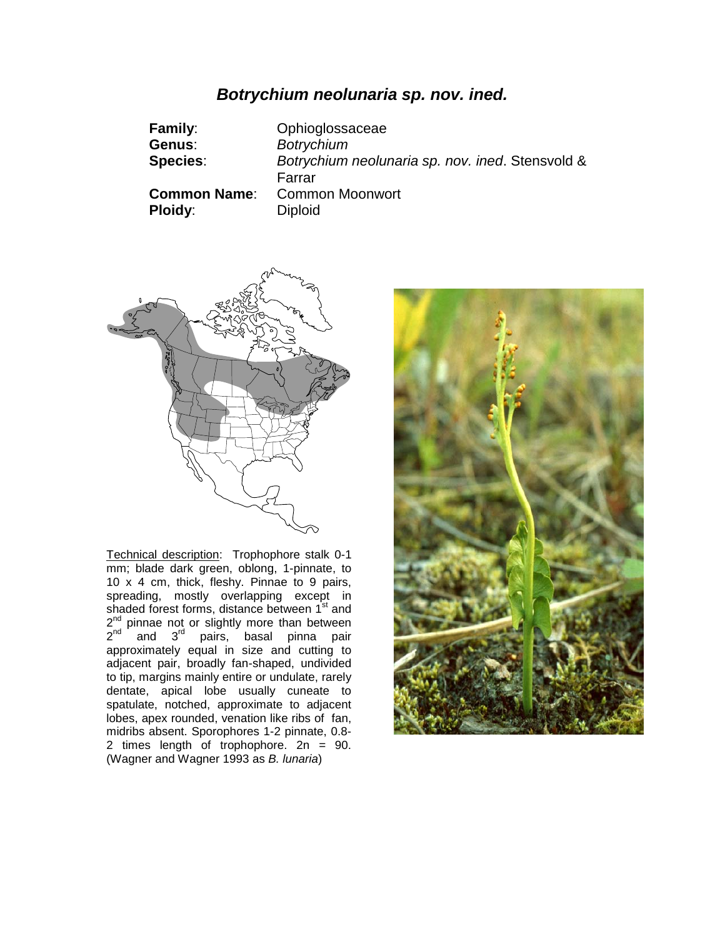# *Botrychium neolunaria sp. nov. ined.*

| <b>Family:</b>      | Ophioglossaceae                                  |
|---------------------|--------------------------------------------------|
| Genus:              | <b>Botrychium</b>                                |
| <b>Species:</b>     | Botrychium neolunaria sp. nov. ined. Stensvold & |
|                     | Farrar                                           |
| <b>Common Name:</b> | <b>Common Moonwort</b>                           |
| <b>Ploidy:</b>      | <b>Diploid</b>                                   |



Technical description: Trophophore stalk 0-1 mm; blade dark green, oblong, 1-pinnate, to 10 x 4 cm, thick, fleshy. Pinnae to 9 pairs, spreading, mostly overlapping except in shaded forest forms, distance between 1st and  $2^{nd}$  pinnae not or slightly more than between 2<sup>nd</sup> and 3<sup>rd</sup> pairs, basal pinna pair approximately equal in size and cutting to adjacent pair, broadly fan-shaped, undivided to tip, margins mainly entire or undulate, rarely dentate, apical lobe usually cuneate to spatulate, notched, approximate to adjacent lobes, apex rounded, venation like ribs of fan, midribs absent. Sporophores 1-2 pinnate, 0.8- 2 times length of trophophore. 2n = 90. (Wagner and Wagner 1993 as *B. lunaria*)

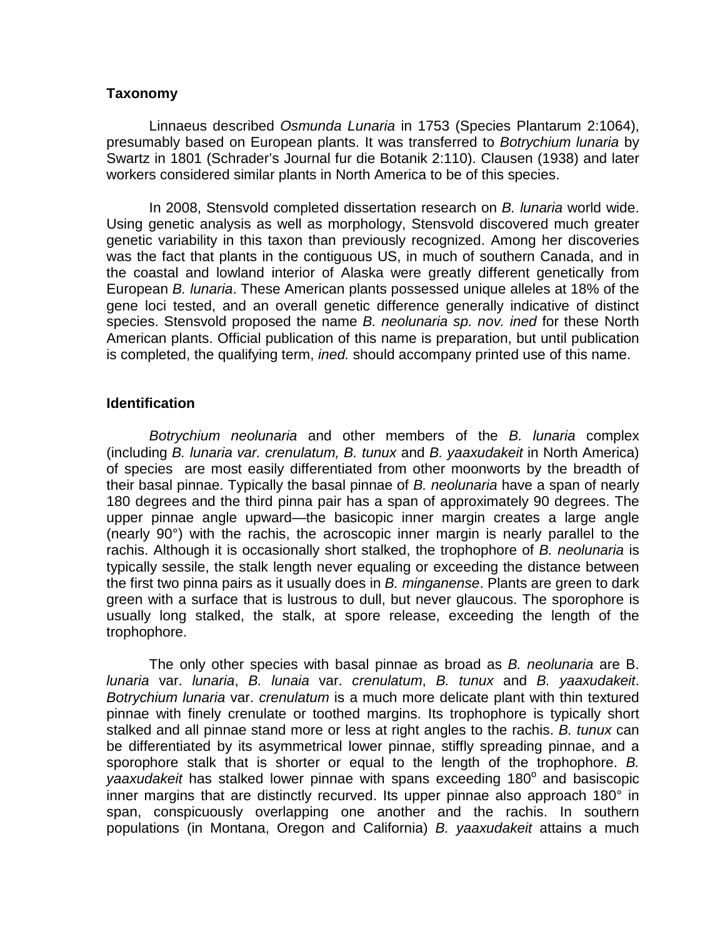## **Taxonomy**

Linnaeus described *Osmunda Lunaria* in 1753 (Species Plantarum 2:1064), presumably based on European plants. It was transferred to *Botrychium lunaria* by Swartz in 1801 (Schrader's Journal fur die Botanik 2:110). Clausen (1938) and later workers considered similar plants in North America to be of this species.

In 2008, Stensvold completed dissertation research on *B. lunaria* world wide. Using genetic analysis as well as morphology, Stensvold discovered much greater genetic variability in this taxon than previously recognized. Among her discoveries was the fact that plants in the contiguous US, in much of southern Canada, and in the coastal and lowland interior of Alaska were greatly different genetically from European *B. lunaria*. These American plants possessed unique alleles at 18% of the gene loci tested, and an overall genetic difference generally indicative of distinct species. Stensvold proposed the name *B. neolunaria sp. nov. ined* for these North American plants. Official publication of this name is preparation, but until publication is completed, the qualifying term, *ined.* should accompany printed use of this name.

## **Identification**

*Botrychium neolunaria* and other members of the *B. lunaria* complex (including *B. lunaria var. crenulatum, B. tunux* and *B. yaaxudakeit* in North America) of species are most easily differentiated from other moonworts by the breadth of their basal pinnae. Typically the basal pinnae of *B. neolunaria* have a span of nearly 180 degrees and the third pinna pair has a span of approximately 90 degrees. The upper pinnae angle upward—the basicopic inner margin creates a large angle (nearly 90°) with the rachis, the acroscopic inner margin is nearly parallel to the rachis. Although it is occasionally short stalked, the trophophore of *B. neolunaria* is typically sessile, the stalk length never equaling or exceeding the distance between the first two pinna pairs as it usually does in *B. minganense*. Plants are green to dark green with a surface that is lustrous to dull, but never glaucous. The sporophore is usually long stalked, the stalk, at spore release, exceeding the length of the trophophore.

The only other species with basal pinnae as broad as *B. neolunaria* are B. *lunaria* var. *lunaria*, *B. lunaia* var. *crenulatum*, *B. tunux* and *B. yaaxudakeit*. *Botrychium lunaria* var. *crenulatum* is a much more delicate plant with thin textured pinnae with finely crenulate or toothed margins. Its trophophore is typically short stalked and all pinnae stand more or less at right angles to the rachis. *B. tunux* can be differentiated by its asymmetrical lower pinnae, stiffly spreading pinnae, and a sporophore stalk that is shorter or equal to the length of the trophophore. *B. yaaxudakeit* has stalked lower pinnae with spans exceeding 180<sup>°</sup> and basiscopic inner margins that are distinctly recurved. Its upper pinnae also approach 180° in span, conspicuously overlapping one another and the rachis. In southern populations (in Montana, Oregon and California) *B. yaaxudakeit* attains a much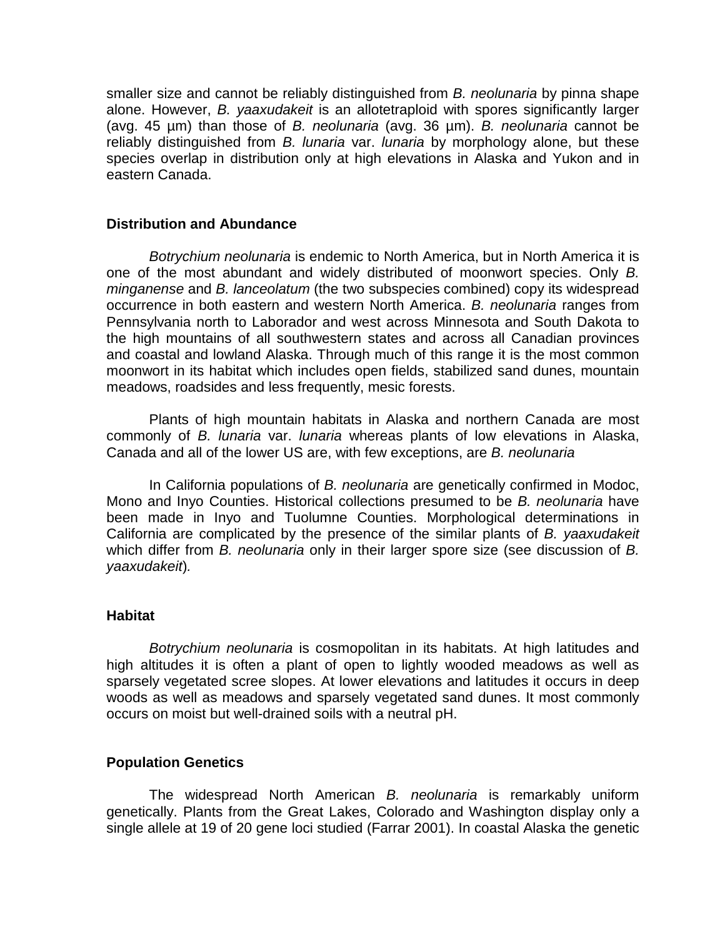smaller size and cannot be reliably distinguished from *B. neolunaria* by pinna shape alone. However, *B. yaaxudakeit* is an allotetraploid with spores significantly larger (avg. 45 µm) than those of *B. neolunaria* (avg. 36 µm). *B. neolunaria* cannot be reliably distinguished from *B. lunaria* var. *lunaria* by morphology alone, but these species overlap in distribution only at high elevations in Alaska and Yukon and in eastern Canada.

#### **Distribution and Abundance**

*Botrychium neolunaria* is endemic to North America, but in North America it is one of the most abundant and widely distributed of moonwort species. Only *B. minganense* and *B. lanceolatum* (the two subspecies combined) copy its widespread occurrence in both eastern and western North America. *B. neolunaria* ranges from Pennsylvania north to Laborador and west across Minnesota and South Dakota to the high mountains of all southwestern states and across all Canadian provinces and coastal and lowland Alaska. Through much of this range it is the most common moonwort in its habitat which includes open fields, stabilized sand dunes, mountain meadows, roadsides and less frequently, mesic forests.

Plants of high mountain habitats in Alaska and northern Canada are most commonly of *B. lunaria* var. *lunaria* whereas plants of low elevations in Alaska, Canada and all of the lower US are, with few exceptions, are *B. neolunaria* 

In California populations of *B. neolunaria* are genetically confirmed in Modoc, Mono and Inyo Counties. Historical collections presumed to be *B. neolunaria* have been made in Inyo and Tuolumne Counties. Morphological determinations in California are complicated by the presence of the similar plants of *B. yaaxudakeit* which differ from *B. neolunaria* only in their larger spore size (see discussion of *B. yaaxudakeit*)*.*

#### **Habitat**

*Botrychium neolunaria* is cosmopolitan in its habitats. At high latitudes and high altitudes it is often a plant of open to lightly wooded meadows as well as sparsely vegetated scree slopes. At lower elevations and latitudes it occurs in deep woods as well as meadows and sparsely vegetated sand dunes. It most commonly occurs on moist but well-drained soils with a neutral pH.

#### **Population Genetics**

The widespread North American *B. neolunaria* is remarkably uniform genetically. Plants from the Great Lakes, Colorado and Washington display only a single allele at 19 of 20 gene loci studied (Farrar 2001). In coastal Alaska the genetic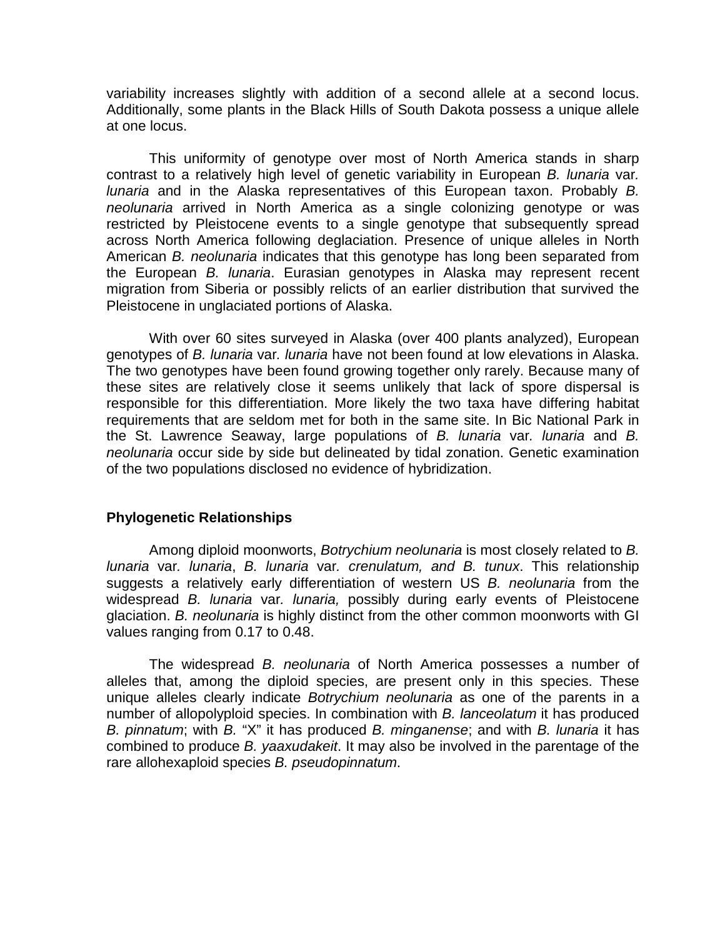variability increases slightly with addition of a second allele at a second locus. Additionally, some plants in the Black Hills of South Dakota possess a unique allele at one locus.

This uniformity of genotype over most of North America stands in sharp contrast to a relatively high level of genetic variability in European *B. lunaria* var*. lunaria* and in the Alaska representatives of this European taxon. Probably *B. neolunaria* arrived in North America as a single colonizing genotype or was restricted by Pleistocene events to a single genotype that subsequently spread across North America following deglaciation. Presence of unique alleles in North American *B. neolunaria* indicates that this genotype has long been separated from the European *B. lunaria*. Eurasian genotypes in Alaska may represent recent migration from Siberia or possibly relicts of an earlier distribution that survived the Pleistocene in unglaciated portions of Alaska.

With over 60 sites surveyed in Alaska (over 400 plants analyzed), European genotypes of *B. lunaria* var*. lunaria* have not been found at low elevations in Alaska. The two genotypes have been found growing together only rarely. Because many of these sites are relatively close it seems unlikely that lack of spore dispersal is responsible for this differentiation. More likely the two taxa have differing habitat requirements that are seldom met for both in the same site. In Bic National Park in the St. Lawrence Seaway, large populations of *B. lunaria* var*. lunaria* and *B. neolunaria* occur side by side but delineated by tidal zonation. Genetic examination of the two populations disclosed no evidence of hybridization.

### **Phylogenetic Relationships**

Among diploid moonworts, *Botrychium neolunaria* is most closely related to *B. lunaria* var*. lunaria*, *B. lunaria* var*. crenulatum, and B. tunux*. This relationship suggests a relatively early differentiation of western US *B. neolunaria* from the widespread *B. lunaria* var*. lunaria,* possibly during early events of Pleistocene glaciation. *B. neolunaria* is highly distinct from the other common moonworts with GI values ranging from 0.17 to 0.48.

The widespread *B. neolunaria* of North America possesses a number of alleles that, among the diploid species, are present only in this species. These unique alleles clearly indicate *Botrychium neolunaria* as one of the parents in a number of allopolyploid species. In combination with *B. lanceolatum* it has produced *B. pinnatum*; with *B.* "X" it has produced *B. minganense*; and with *B. lunaria* it has combined to produce *B. yaaxudakeit*. It may also be involved in the parentage of the rare allohexaploid species *B. pseudopinnatum*.